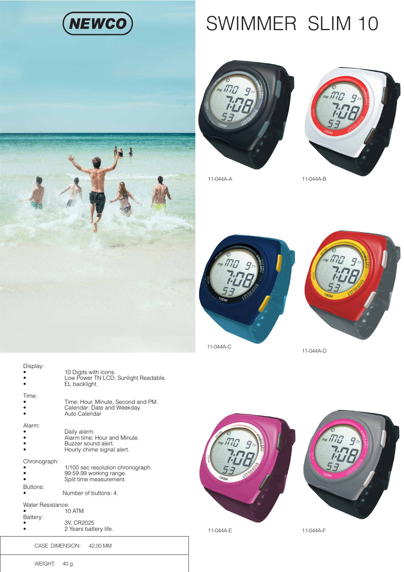

## SWIMMER SLIM 10





11-044A-A 11-044A-B





11-044A-D





11-044A-E

11-044A-F



Display: • **10 Digits with icons.** 

|                          | Low Power TN LCD, Sunlight Readable.<br>EL backlight.                                                            |
|--------------------------|------------------------------------------------------------------------------------------------------------------|
| Time:                    | Time: Hour, Minute, Second and PM.<br>Calendar: Date and Weekday.<br>Auto Calendar                               |
| Alarm:                   | Daily alarm.<br>Alarm time: Hour and Minute.<br>Buzzer sound alert.<br>Hourly chime signal alert.                |
| Chronograph:<br>Buttons: | 1/100 sec resolution chronograph.<br>99:59.99 working range.<br>Split time measurement.<br>Number of buttons: 4. |
| Water Resistance:        | 10 ATM                                                                                                           |
| Battery:                 | 3V, CR2025                                                                                                       |

• 2 Years battery life.

CASE DIMENSION: 42.00 MM